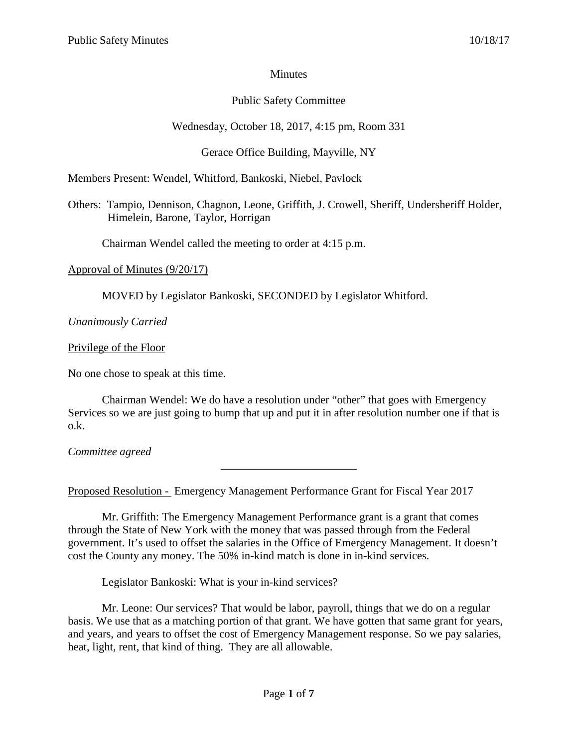## **Minutes**

# Public Safety Committee

# Wednesday, October 18, 2017, 4:15 pm, Room 331

# Gerace Office Building, Mayville, NY

Members Present: Wendel, Whitford, Bankoski, Niebel, Pavlock

Others: Tampio, Dennison, Chagnon, Leone, Griffith, J. Crowell, Sheriff, Undersheriff Holder, Himelein, Barone, Taylor, Horrigan

Chairman Wendel called the meeting to order at 4:15 p.m.

### Approval of Minutes (9/20/17)

MOVED by Legislator Bankoski, SECONDED by Legislator Whitford.

*Unanimously Carried*

## Privilege of the Floor

No one chose to speak at this time.

Chairman Wendel: We do have a resolution under "other" that goes with Emergency Services so we are just going to bump that up and put it in after resolution number one if that is o.k.

\_\_\_\_\_\_\_\_\_\_\_\_\_\_\_\_\_\_\_\_\_\_\_\_

*Committee agreed*

Proposed Resolution - Emergency Management Performance Grant for Fiscal Year 2017

Mr. Griffith: The Emergency Management Performance grant is a grant that comes through the State of New York with the money that was passed through from the Federal government. It's used to offset the salaries in the Office of Emergency Management. It doesn't cost the County any money. The 50% in-kind match is done in in-kind services.

Legislator Bankoski: What is your in-kind services?

Mr. Leone: Our services? That would be labor, payroll, things that we do on a regular basis. We use that as a matching portion of that grant. We have gotten that same grant for years, and years, and years to offset the cost of Emergency Management response. So we pay salaries, heat, light, rent, that kind of thing. They are all allowable.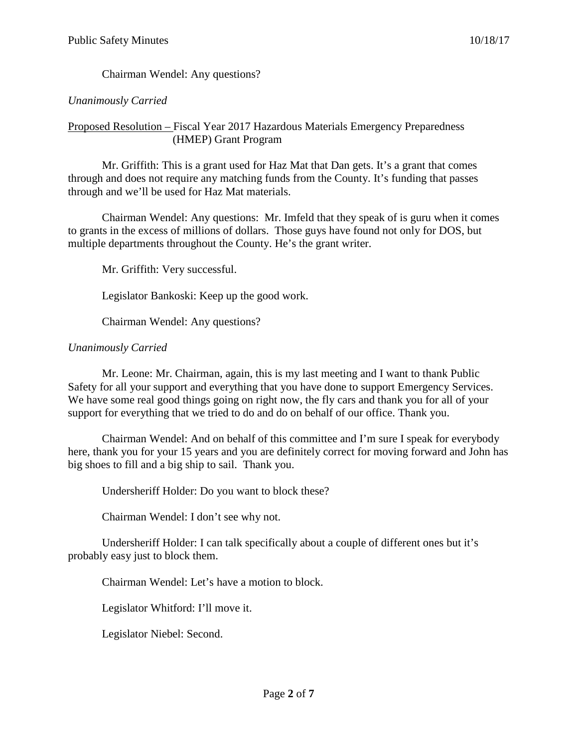Chairman Wendel: Any questions?

## *Unanimously Carried*

### Proposed Resolution – Fiscal Year 2017 Hazardous Materials Emergency Preparedness (HMEP) Grant Program

Mr. Griffith: This is a grant used for Haz Mat that Dan gets. It's a grant that comes through and does not require any matching funds from the County. It's funding that passes through and we'll be used for Haz Mat materials.

Chairman Wendel: Any questions: Mr. Imfeld that they speak of is guru when it comes to grants in the excess of millions of dollars. Those guys have found not only for DOS, but multiple departments throughout the County. He's the grant writer.

Mr. Griffith: Very successful.

Legislator Bankoski: Keep up the good work.

Chairman Wendel: Any questions?

### *Unanimously Carried*

Mr. Leone: Mr. Chairman, again, this is my last meeting and I want to thank Public Safety for all your support and everything that you have done to support Emergency Services. We have some real good things going on right now, the fly cars and thank you for all of your support for everything that we tried to do and do on behalf of our office. Thank you.

Chairman Wendel: And on behalf of this committee and I'm sure I speak for everybody here, thank you for your 15 years and you are definitely correct for moving forward and John has big shoes to fill and a big ship to sail. Thank you.

Undersheriff Holder: Do you want to block these?

Chairman Wendel: I don't see why not.

Undersheriff Holder: I can talk specifically about a couple of different ones but it's probably easy just to block them.

Chairman Wendel: Let's have a motion to block.

Legislator Whitford: I'll move it.

Legislator Niebel: Second.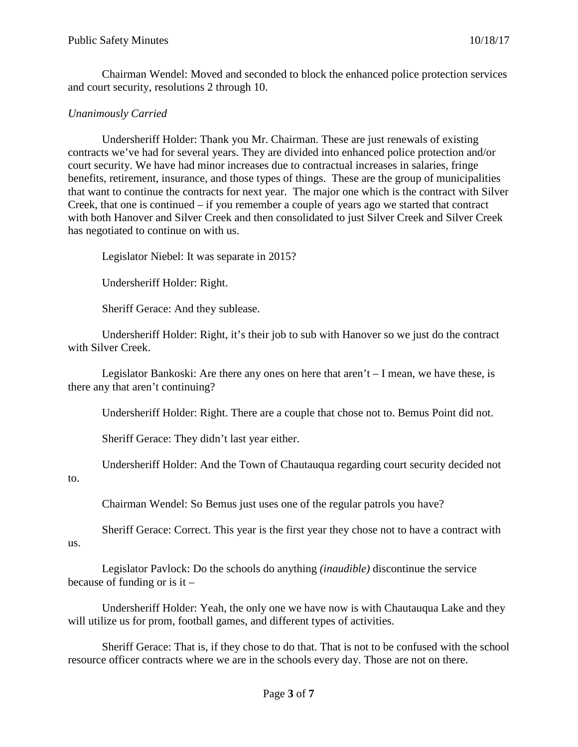Chairman Wendel: Moved and seconded to block the enhanced police protection services and court security, resolutions 2 through 10.

## *Unanimously Carried*

Undersheriff Holder: Thank you Mr. Chairman. These are just renewals of existing contracts we've had for several years. They are divided into enhanced police protection and/or court security. We have had minor increases due to contractual increases in salaries, fringe benefits, retirement, insurance, and those types of things. These are the group of municipalities that want to continue the contracts for next year. The major one which is the contract with Silver Creek, that one is continued – if you remember a couple of years ago we started that contract with both Hanover and Silver Creek and then consolidated to just Silver Creek and Silver Creek has negotiated to continue on with us.

Legislator Niebel: It was separate in 2015?

Undersheriff Holder: Right.

Sheriff Gerace: And they sublease.

Undersheriff Holder: Right, it's their job to sub with Hanover so we just do the contract with Silver Creek.

Legislator Bankoski: Are there any ones on here that aren't  $-$  I mean, we have these, is there any that aren't continuing?

Undersheriff Holder: Right. There are a couple that chose not to. Bemus Point did not.

Sheriff Gerace: They didn't last year either.

Undersheriff Holder: And the Town of Chautauqua regarding court security decided not

#### to.

Chairman Wendel: So Bemus just uses one of the regular patrols you have?

Sheriff Gerace: Correct. This year is the first year they chose not to have a contract with us.

Legislator Pavlock: Do the schools do anything *(inaudible)* discontinue the service because of funding or is it  $-$ 

Undersheriff Holder: Yeah, the only one we have now is with Chautauqua Lake and they will utilize us for prom, football games, and different types of activities.

Sheriff Gerace: That is, if they chose to do that. That is not to be confused with the school resource officer contracts where we are in the schools every day. Those are not on there.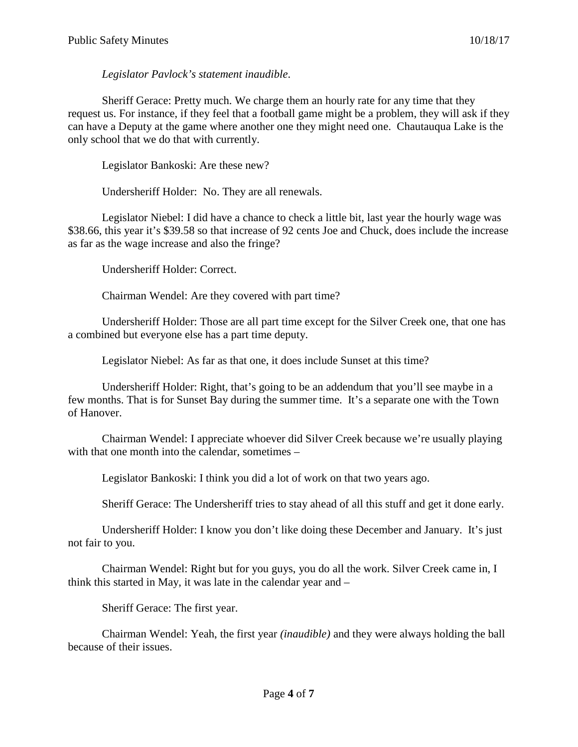*Legislator Pavlock's statement inaudible*.

Sheriff Gerace: Pretty much. We charge them an hourly rate for any time that they request us. For instance, if they feel that a football game might be a problem, they will ask if they can have a Deputy at the game where another one they might need one. Chautauqua Lake is the only school that we do that with currently.

Legislator Bankoski: Are these new?

Undersheriff Holder: No. They are all renewals.

Legislator Niebel: I did have a chance to check a little bit, last year the hourly wage was \$38.66, this year it's \$39.58 so that increase of 92 cents Joe and Chuck, does include the increase as far as the wage increase and also the fringe?

Undersheriff Holder: Correct.

Chairman Wendel: Are they covered with part time?

Undersheriff Holder: Those are all part time except for the Silver Creek one, that one has a combined but everyone else has a part time deputy.

Legislator Niebel: As far as that one, it does include Sunset at this time?

Undersheriff Holder: Right, that's going to be an addendum that you'll see maybe in a few months. That is for Sunset Bay during the summer time. It's a separate one with the Town of Hanover.

Chairman Wendel: I appreciate whoever did Silver Creek because we're usually playing with that one month into the calendar, sometimes –

Legislator Bankoski: I think you did a lot of work on that two years ago.

Sheriff Gerace: The Undersheriff tries to stay ahead of all this stuff and get it done early.

Undersheriff Holder: I know you don't like doing these December and January. It's just not fair to you.

Chairman Wendel: Right but for you guys, you do all the work. Silver Creek came in, I think this started in May, it was late in the calendar year and –

Sheriff Gerace: The first year.

Chairman Wendel: Yeah, the first year *(inaudible)* and they were always holding the ball because of their issues.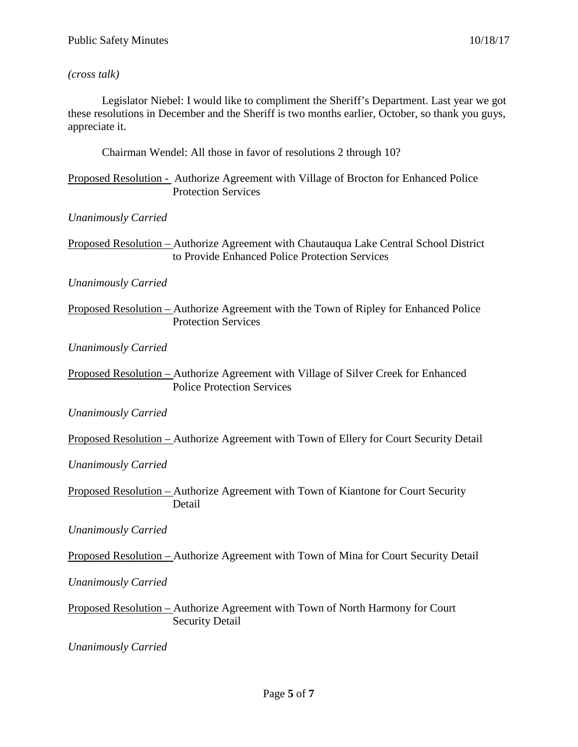#### *(cross talk)*

Legislator Niebel: I would like to compliment the Sheriff's Department. Last year we got these resolutions in December and the Sheriff is two months earlier, October, so thank you guys, appreciate it.

Chairman Wendel: All those in favor of resolutions 2 through 10?

Proposed Resolution - Authorize Agreement with Village of Brocton for Enhanced Police Protection Services

*Unanimously Carried*

Proposed Resolution – Authorize Agreement with Chautauqua Lake Central School District to Provide Enhanced Police Protection Services

*Unanimously Carried*

Proposed Resolution – Authorize Agreement with the Town of Ripley for Enhanced Police Protection Services

*Unanimously Carried*

Proposed Resolution – Authorize Agreement with Village of Silver Creek for Enhanced Police Protection Services

*Unanimously Carried*

Proposed Resolution – Authorize Agreement with Town of Ellery for Court Security Detail

*Unanimously Carried*

Proposed Resolution – Authorize Agreement with Town of Kiantone for Court Security Detail

*Unanimously Carried*

Proposed Resolution – Authorize Agreement with Town of Mina for Court Security Detail

*Unanimously Carried*

Proposed Resolution – Authorize Agreement with Town of North Harmony for Court Security Detail

*Unanimously Carried*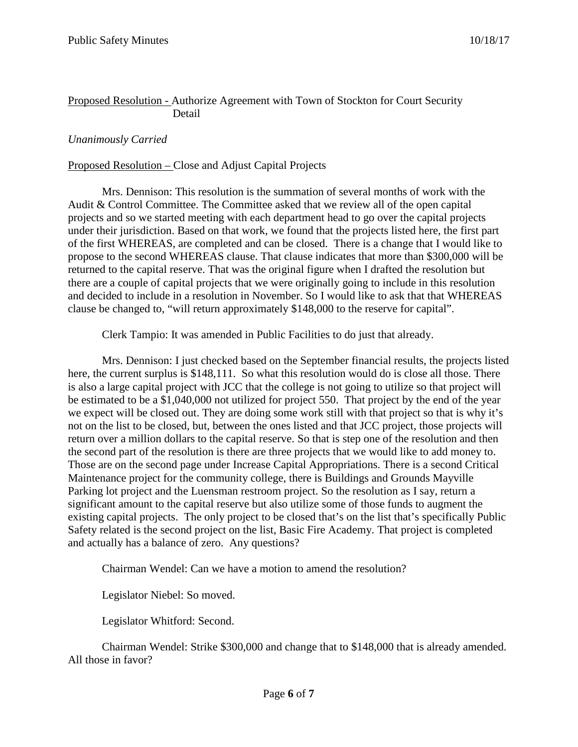#### Proposed Resolution - Authorize Agreement with Town of Stockton for Court Security Detail

### *Unanimously Carried*

#### Proposed Resolution – Close and Adjust Capital Projects

Mrs. Dennison: This resolution is the summation of several months of work with the Audit & Control Committee. The Committee asked that we review all of the open capital projects and so we started meeting with each department head to go over the capital projects under their jurisdiction. Based on that work, we found that the projects listed here, the first part of the first WHEREAS, are completed and can be closed. There is a change that I would like to propose to the second WHEREAS clause. That clause indicates that more than \$300,000 will be returned to the capital reserve. That was the original figure when I drafted the resolution but there are a couple of capital projects that we were originally going to include in this resolution and decided to include in a resolution in November. So I would like to ask that that WHEREAS clause be changed to, "will return approximately \$148,000 to the reserve for capital".

Clerk Tampio: It was amended in Public Facilities to do just that already.

Mrs. Dennison: I just checked based on the September financial results, the projects listed here, the current surplus is \$148,111. So what this resolution would do is close all those. There is also a large capital project with JCC that the college is not going to utilize so that project will be estimated to be a \$1,040,000 not utilized for project 550. That project by the end of the year we expect will be closed out. They are doing some work still with that project so that is why it's not on the list to be closed, but, between the ones listed and that JCC project, those projects will return over a million dollars to the capital reserve. So that is step one of the resolution and then the second part of the resolution is there are three projects that we would like to add money to. Those are on the second page under Increase Capital Appropriations. There is a second Critical Maintenance project for the community college, there is Buildings and Grounds Mayville Parking lot project and the Luensman restroom project. So the resolution as I say, return a significant amount to the capital reserve but also utilize some of those funds to augment the existing capital projects. The only project to be closed that's on the list that's specifically Public Safety related is the second project on the list, Basic Fire Academy. That project is completed and actually has a balance of zero. Any questions?

Chairman Wendel: Can we have a motion to amend the resolution?

Legislator Niebel: So moved.

Legislator Whitford: Second.

Chairman Wendel: Strike \$300,000 and change that to \$148,000 that is already amended. All those in favor?